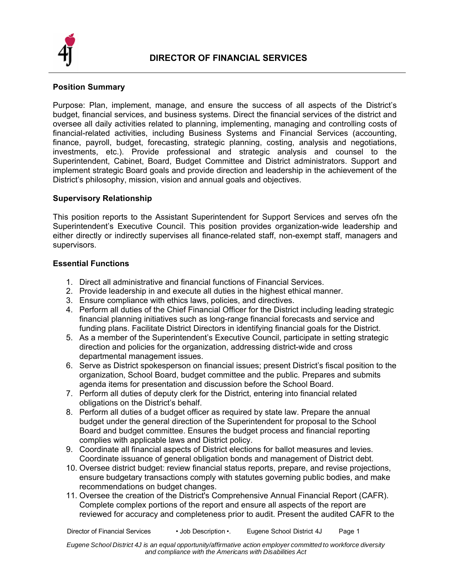

## **Position Summary**

Purpose: Plan, implement, manage, and ensure the success of all aspects of the District's budget, financial services, and business systems. Direct the financial services of the district and oversee all daily activities related to planning, implementing, managing and controlling costs of financial-related activities, including Business Systems and Financial Services (accounting, finance, payroll, budget, forecasting, strategic planning, costing, analysis and negotiations, investments, etc.). Provide professional and strategic analysis and counsel to the Superintendent, Cabinet, Board, Budget Committee and District administrators. Support and implement strategic Board goals and provide direction and leadership in the achievement of the District's philosophy, mission, vision and annual goals and objectives.

### **Supervisory Relationship**

This position reports to the Assistant Superintendent for Support Services and serves ofn the Superintendent's Executive Council. This position provides organization-wide leadership and either directly or indirectly supervises all finance-related staff, non-exempt staff, managers and supervisors.

#### **Essential Functions**

- 1. Direct all administrative and financial functions of Financial Services.
- 2. Provide leadership in and execute all duties in the highest ethical manner.
- 3. Ensure compliance with ethics laws, policies, and directives.
- 4. Perform all duties of the Chief Financial Officer for the District including leading strategic financial planning initiatives such as long-range financial forecasts and service and funding plans. Facilitate District Directors in identifying financial goals for the District.
- 5. As a member of the Superintendent's Executive Council, participate in setting strategic direction and policies for the organization, addressing district-wide and cross departmental management issues.
- 6. Serve as District spokesperson on financial issues; present District's fiscal position to the organization, School Board, budget committee and the public. Prepares and submits agenda items for presentation and discussion before the School Board.
- 7. Perform all duties of deputy clerk for the District, entering into financial related obligations on the District's behalf.
- 8. Perform all duties of a budget officer as required by state law. Prepare the annual budget under the general direction of the Superintendent for proposal to the School Board and budget committee. Ensures the budget process and financial reporting complies with applicable laws and District policy.
- 9. Coordinate all financial aspects of District elections for ballot measures and levies. Coordinate issuance of general obligation bonds and management of District debt.
- 10. Oversee district budget: review financial status reports, prepare, and revise projections, ensure budgetary transactions comply with statutes governing public bodies, and make recommendations on budget changes.
- 11. Oversee the creation of the District's Comprehensive Annual Financial Report (CAFR). Complete complex portions of the report and ensure all aspects of the report are reviewed for accuracy and completeness prior to audit. Present the audited CAFR to the

Director of Financial Services • Job Description •. Eugene School District 4J Page 1

*Eugene School District 4J is an equal opportunity/affirmative action employer committed to workforce diversity and compliance with the Americans with Disabilities Act*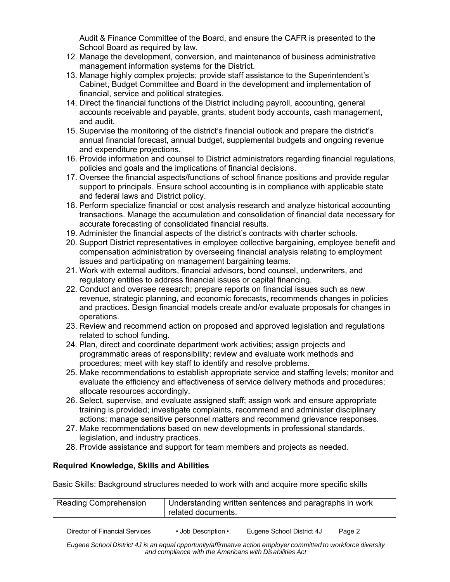Audit & Finance Committee of the Board, and ensure the CAFR is presented to the School Board as required by law.

- 12. Manage the development, conversion, and maintenance of business administrative management information systems for the District.
- 13. Manage highly complex projects; provide staff assistance to the Superintendent's Cabinet, Budget Committee and Board in the development and implementation of financial, service and political strategies.
- 14. Direct the financial functions of the District including payroll, accounting, general accounts receivable and payable, grants, student body accounts, cash management, and audit.
- 15. Supervise the monitoring of the district's financial outlook and prepare the district's annual financial forecast, annual budget, supplemental budgets and ongoing revenue and expenditure projections.
- 16. Provide information and counsel to District administrators regarding financial regulations, policies and goals and the implications of financial decisions.
- 17. Oversee the financial aspects/functions of school finance positions and provide regular support to principals. Ensure school accounting is in compliance with applicable state and federal laws and District policy.
- 18. Perform specialize financial or cost analysis research and analyze historical accounting transactions. Manage the accumulation and consolidation of financial data necessary for accurate forecasting of consolidated financial results.
- 19. Administer the financial aspects of the district's contracts with charter schools.
- 20. Support District representatives in employee collective bargaining, employee benefit and compensation administration by overseeing financial analysis relating to employment issues and participating on management bargaining teams.
- 21. Work with external auditors, financial advisors, bond counsel, underwriters, and regulatory entities to address financial issues or capital financing.
- 22. Conduct and oversee research; prepare reports on financial issues such as new revenue, strategic planning, and economic forecasts, recommends changes in policies and practices. Design financial models create and/or evaluate proposals for changes in operations.
- 23. Review and recommend action on proposed and approved legislation and regulations related to school funding.
- 24. Plan, direct and coordinate department work activities; assign projects and programmatic areas of responsibility; review and evaluate work methods and procedures; meet with key staff to identify and resolve problems.
- 25. Make recommendations to establish appropriate service and staffing levels; monitor and evaluate the efficiency and effectiveness of service delivery methods and procedures; allocate resources accordingly.
- 26. Select, supervise, and evaluate assigned staff; assign work and ensure appropriate training is provided; investigate complaints, recommend and administer disciplinary actions; manage sensitive personnel matters and recommend grievance responses.
- 27. Make recommendations based on new developments in professional standards, legislation, and industry practices.
- 28. Provide assistance and support for team members and projects as needed.

# **Required Knowledge, Skills and Abilities**

Basic Skills: Background structures needed to work with and acquire more specific skills

| Reading Comprehension | Understanding written sentences and paragraphs in work<br>related documents. |
|-----------------------|------------------------------------------------------------------------------|
|                       |                                                                              |

Director of Financial Services • Job Description •. Eugene School District 4J Page 2

*Eugene School District 4J is an equal opportunity/affirmative action employer committed to workforce diversity and compliance with the Americans with Disabilities Act*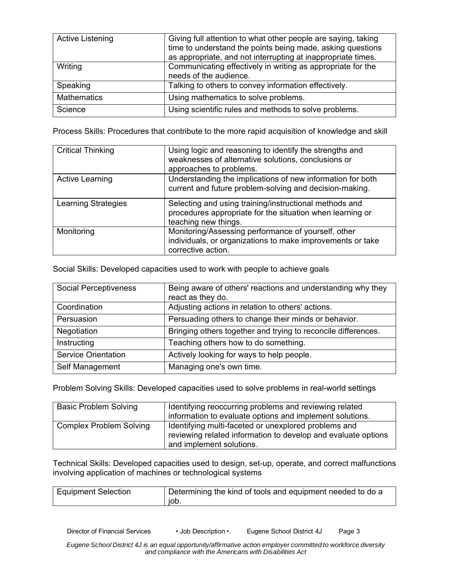| <b>Active Listening</b> | Giving full attention to what other people are saying, taking<br>time to understand the points being made, asking questions<br>as appropriate, and not interrupting at inappropriate times. |
|-------------------------|---------------------------------------------------------------------------------------------------------------------------------------------------------------------------------------------|
| Writing                 | Communicating effectively in writing as appropriate for the<br>needs of the audience.                                                                                                       |
| Speaking                | Talking to others to convey information effectively.                                                                                                                                        |
| <b>Mathematics</b>      | Using mathematics to solve problems.                                                                                                                                                        |
| Science                 | Using scientific rules and methods to solve problems.                                                                                                                                       |

Process Skills: Procedures that contribute to the more rapid acquisition of knowledge and skill

| <b>Critical Thinking</b>   | Using logic and reasoning to identify the strengths and<br>weaknesses of alternative solutions, conclusions or<br>approaches to problems.   |
|----------------------------|---------------------------------------------------------------------------------------------------------------------------------------------|
| <b>Active Learning</b>     | Understanding the implications of new information for both<br>current and future problem-solving and decision-making.                       |
| <b>Learning Strategies</b> | Selecting and using training/instructional methods and<br>procedures appropriate for the situation when learning or<br>teaching new things. |
| Monitoring                 | Monitoring/Assessing performance of yourself, other<br>individuals, or organizations to make improvements or take<br>corrective action.     |

Social Skills: Developed capacities used to work with people to achieve goals

| <b>Social Perceptiveness</b> | Being aware of others' reactions and understanding why they<br>react as they do. |
|------------------------------|----------------------------------------------------------------------------------|
| Coordination                 | Adjusting actions in relation to others' actions.                                |
| Persuasion                   | Persuading others to change their minds or behavior.                             |
| Negotiation                  | Bringing others together and trying to reconcile differences.                    |
| Instructing                  | Teaching others how to do something.                                             |
| <b>Service Orientation</b>   | Actively looking for ways to help people.                                        |
| Self Management              | Managing one's own time.                                                         |

Problem Solving Skills: Developed capacities used to solve problems in real-world settings

| <b>Basic Problem Solving</b>   | Identifying reoccurring problems and reviewing related<br>information to evaluate options and implement solutions.                                |
|--------------------------------|---------------------------------------------------------------------------------------------------------------------------------------------------|
| <b>Complex Problem Solving</b> | Identifying multi-faceted or unexplored problems and<br>reviewing related information to develop and evaluate options<br>and implement solutions. |

Technical Skills: Developed capacities used to design, set-up, operate, and correct malfunctions involving application of machines or technological systems

| Equipment Selection | Determining the kind of tools and equipment needed to do a |
|---------------------|------------------------------------------------------------|
|                     | iob.                                                       |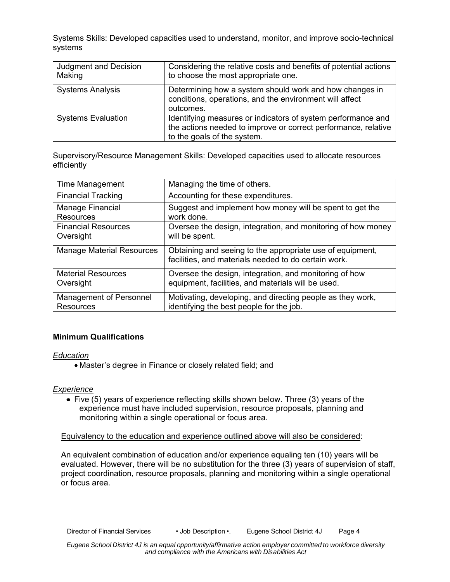Systems Skills: Developed capacities used to understand, monitor, and improve socio-technical systems

| Judgment and Decision<br>Making | Considering the relative costs and benefits of potential actions<br>to choose the most appropriate one.                                                       |
|---------------------------------|---------------------------------------------------------------------------------------------------------------------------------------------------------------|
| <b>Systems Analysis</b>         | Determining how a system should work and how changes in<br>conditions, operations, and the environment will affect<br>outcomes.                               |
| <b>Systems Evaluation</b>       | Identifying measures or indicators of system performance and<br>the actions needed to improve or correct performance, relative<br>to the goals of the system. |

Supervisory/Resource Management Skills: Developed capacities used to allocate resources efficiently

| Time Management                  | Managing the time of others.                                                                                      |
|----------------------------------|-------------------------------------------------------------------------------------------------------------------|
| <b>Financial Tracking</b>        | Accounting for these expenditures.                                                                                |
| Manage Financial                 | Suggest and implement how money will be spent to get the                                                          |
| <b>Resources</b>                 | work done.                                                                                                        |
| <b>Financial Resources</b>       | Oversee the design, integration, and monitoring of how money                                                      |
| Oversight                        | will be spent.                                                                                                    |
| <b>Manage Material Resources</b> | Obtaining and seeing to the appropriate use of equipment,<br>facilities, and materials needed to do certain work. |
| <b>Material Resources</b>        | Oversee the design, integration, and monitoring of how                                                            |
| Oversight                        | equipment, facilities, and materials will be used.                                                                |
| Management of Personnel          | Motivating, developing, and directing people as they work,                                                        |
| <b>Resources</b>                 | identifying the best people for the job.                                                                          |

### **Minimum Qualifications**

### *Education*

Master's degree in Finance or closely related field; and

#### *Experience*

 $\bullet$  Five (5) years of experience reflecting skills shown below. Three (3) years of the experience must have included supervision, resource proposals, planning and monitoring within a single operational or focus area.

#### Equivalency to the education and experience outlined above will also be considered:

An equivalent combination of education and/or experience equaling ten (10) years will be evaluated. However, there will be no substitution for the three (3) years of supervision of staff, project coordination, resource proposals, planning and monitoring within a single operational or focus area.